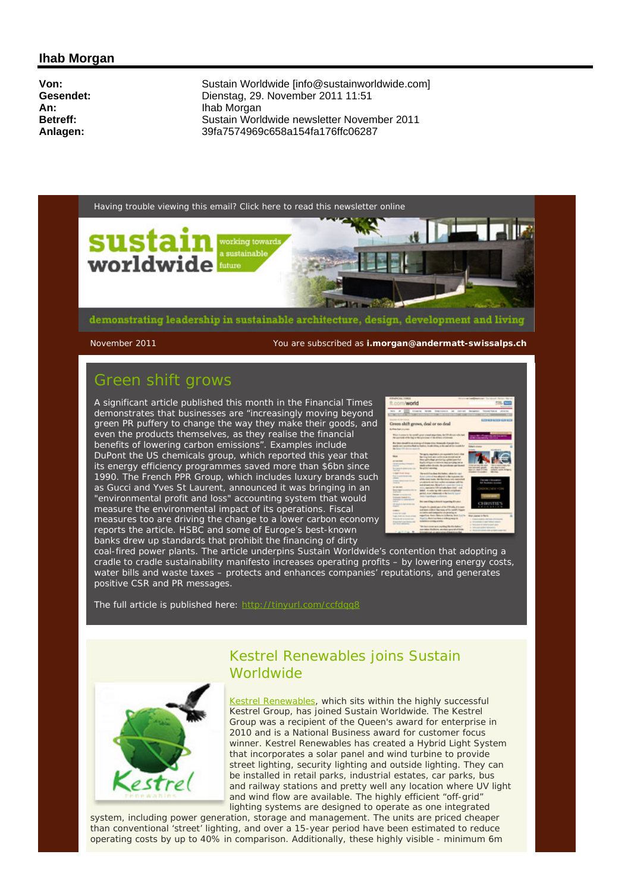### **Ihab Morgan**

**Von:** Sustain Worldwide [info@sustainworldwide.com]<br>
Gesendet: Comparent Dienstag. 29. November 2011 11:51 **Gesendet:** Dienstag, 29. November 2011 11:51 **An:** Ihab Morgan<br> **Betreff:** Sustain Worl **Betreff:** Sustain Worldwide newsletter November 2011<br> **Anlagen:** 39fa7574969c658a154fa176ffc06287 **Anlagen:** 39fa7574969c658a154fa176ffc06287



demonstrating leadership in sustainable architecture, design, development and living

November 2011 You are subscribed as **i.morgan@andermatt-swissalps.ch**

# Green shift grows

A significant article published this month in the Financial Times demonstrates that businesses are "increasingly moving beyond green PR puffery to change the way they make their goods, and even the products themselves, as they realise the financial benefits of lowering carbon emissions". Examples include DuPont the US chemicals group, which reported this year that its energy efficiency programmes saved more than \$6bn since 1990. The French PPR Group, which includes luxury brands such as Gucci and Yves St Laurent, announced it was bringing in an "environmental profit and loss" accounting system that would measure the environmental impact of its operations. Fiscal measures too are driving the change to a lower carbon economy reports the article. HSBC and some of Europe's best-known banks drew up standards that prohibit the financing of dirty



coal-fired power plants. The article underpins Sustain Worldwide's contention that adopting a cradle to cradle sustainability manifesto increases operating profits – by lowering energy costs, water bills and waste taxes – protects and enhances companies' reputations, and generates positive CSR and PR messages.

The full article is published here: http://tinyurl.com/ccfdqq8



### Kestrel Renewables joins Sustain **Worldwide**

Kestrel Renewables, which sits within the highly successful Kestrel Group, has joined Sustain Worldwide. The Kestrel Group was a recipient of the Queen's award for enterprise in 2010 and is a National Business award for customer focus winner. Kestrel Renewables has created a Hybrid Light System that incorporates a solar panel and wind turbine to provide street lighting, security lighting and outside lighting. They can be installed in retail parks, industrial estates, car parks, bus and railway stations and pretty well any location where UV light and wind flow are available. The highly efficient "off-grid" lighting systems are designed to operate as one integrated

system, including power generation, storage and management. The units are priced cheaper than conventional 'street' lighting, and over a 15-year period have been estimated to reduce operating costs by up to 40% in comparison. Additionally, these highly visible - minimum 6m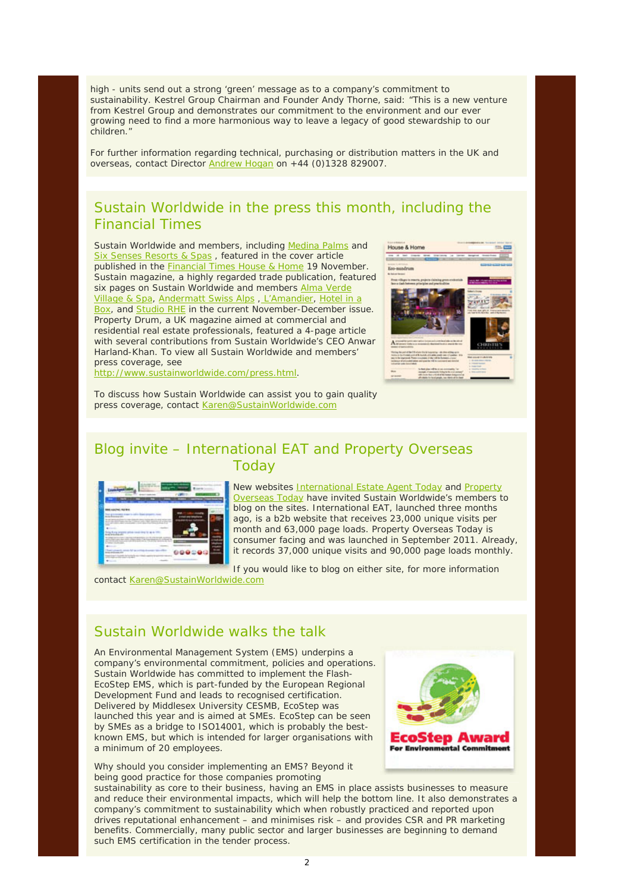high - units send out a strong 'green' message as to a company's commitment to sustainability. Kestrel Group Chairman and Founder Andy Thorne, said: "This is a new venture from Kestrel Group and demonstrates our commitment to the environment and our ever growing need to find a more harmonious way to leave a legacy of good stewardship to our children."

For further information regarding technical, purchasing or distribution matters in the UK and overseas, contact Director Andrew Hogan on +44 (0)1328 829007.

# Sustain Worldwide in the press this month, including the Financial Times

Sustain Worldwide and members, including Medina Palms and Six Senses Resorts & Spas, featured in the cover article published in the Financial Times House & Home 19 November. Sustain magazine, a highly regarded trade publication, featured six pages on Sustain Worldwide and members Alma Verde Village & Spa, Andermatt Swiss Alps , L'Amandier, Hotel in a Box, and Studio RHE in the current November-December issue. Property Drum, a UK magazine aimed at commercial and residential real estate professionals, featured a 4-page article with several contributions from Sustain Worldwide's CEO Anwar Harland-Khan. To view all Sustain Worldwide and members' press coverage, see http://www.sustainworldwide.com/press.html.



To discuss how Sustain Worldwide can assist you to gain quality

press coverage, contact Karen@SustainWorldwide.com

# Blog invite – International EAT and Property Overseas Today



New websites International Estate Agent Today and Property Overseas Today have invited Sustain Worldwide's members to blog on the sites. International EAT, launched three months ago, is a b2b website that receives 23,000 unique visits per month and 63,000 page loads. Property Overseas Today is consumer facing and was launched in September 2011. Already, it records 37,000 unique visits and 90,000 page loads monthly.

If you would like to blog on either site, for more information

contact Karen@SustainWorldwide.com

## Sustain Worldwide walks the talk

An Environmental Management System (EMS) underpins a company's environmental commitment, policies and operations. Sustain Worldwide has committed to implement the Flash-EcoStep EMS, which is part-funded by the European Regional Development Fund and leads to recognised certification. Delivered by Middlesex University CESMB, EcoStep was launched this year and is aimed at SMEs. EcoStep can be seen by SMEs as a bridge to ISO14001, which is probably the bestknown EMS, but which is intended for larger organisations with a minimum of 20 employees.

Why should you consider implementing an EMS? Beyond it being good practice for those companies promoting



sustainability as core to their business, having an EMS in place assists businesses to measure and reduce their environmental impacts, which will help the bottom line. It also demonstrates a company's commitment to sustainability which when robustly practiced and reported upon drives reputational enhancement – and minimises risk – and provides CSR and PR marketing benefits. Commercially, many public sector and larger businesses are beginning to demand such EMS certification in the tender process.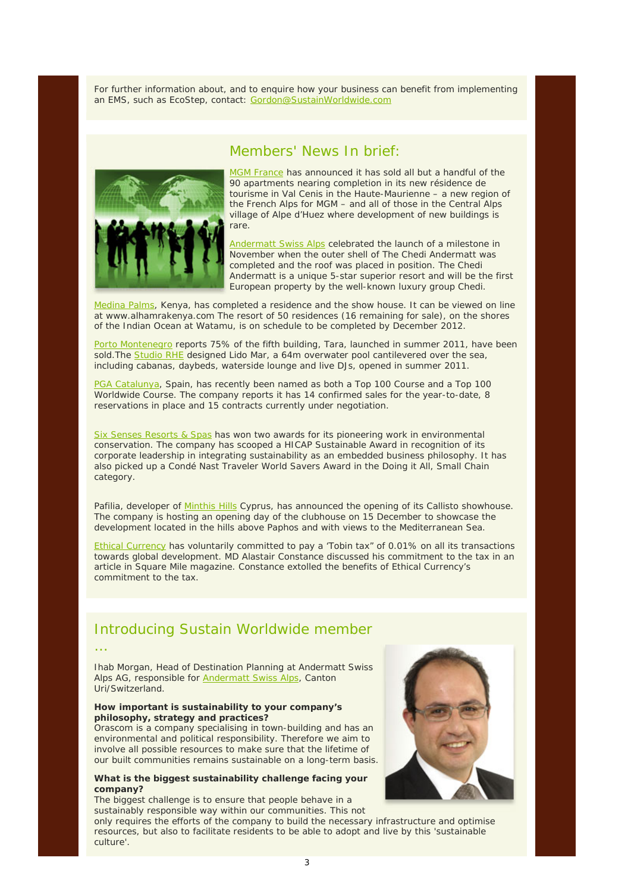For further information about, and to enquire how your business can benefit from implementing an EMS, such as EcoStep, contact: Gordon@SustainWorldwide.com

### Members' News In brief:



MGM France has announced it has sold all but a handful of the 90 apartments nearing completion in its new résidence de tourisme in Val Cenis in the Haute-Maurienne – a new region of the French Alps for MGM – and all of those in the Central Alps village of Alpe d'Huez where development of new buildings is rare.

Andermatt Swiss Alps celebrated the launch of a milestone in November when the outer shell of The Chedi Andermatt was completed and the roof was placed in position. The Chedi Andermatt is a unique 5-star superior resort and will be the first European property by the well-known luxury group Chedi.

Medina Palms, Kenya, has completed a residence and the show house. It can be viewed on line at www.alhamrakenya.com The resort of 50 residences (16 remaining for sale), on the shores of the Indian Ocean at Watamu, is on schedule to be completed by December 2012.

Porto Montenegro reports 75% of the fifth building, Tara, launched in summer 2011, have been sold. The Studio RHE designed Lido Mar, a 64m overwater pool cantilevered over the sea, including cabanas, daybeds, waterside lounge and live DJs, opened in summer 2011.

PGA Catalunya, Spain, has recently been named as both a Top 100 Course and a Top 100 Worldwide Course. The company reports it has 14 confirmed sales for the year-to-date, 8 reservations in place and 15 contracts currently under negotiation.

Six Senses Resorts & Spas has won two awards for its pioneering work in environmental conservation. The company has scooped a HICAP Sustainable Award in recognition of its corporate leadership in integrating sustainability as an embedded business philosophy. It has also picked up a Condé Nast Traveler World Savers Award in the Doing it All, Small Chain category.

Pafilia, developer of Minthis Hills Cyprus, has announced the opening of its Callisto showhouse. The company is hosting an opening day of the clubhouse on 15 December to showcase the development located in the hills above Paphos and with views to the Mediterranean Sea.

Ethical Currency has voluntarily committed to pay a 'Tobin tax" of 0.01% on all its transactions towards global development. MD Alastair Constance discussed his commitment to the tax in an article in Square Mile magazine. Constance extolled the benefits of Ethical Currency's commitment to the tax.

### Introducing Sustain Worldwide member

…

Ihab Morgan, Head of Destination Planning at Andermatt Swiss Alps AG, responsible for Andermatt Swiss Alps, Canton Uri/Switzerland.

#### **How important is sustainability to your company's philosophy, strategy and practices?**

Orascom is a company specialising in town-building and has an environmental and political responsibility. Therefore we aim to involve all possible resources to make sure that the lifetime of our built communities remains sustainable on a long-term basis.

#### **What is the biggest sustainability challenge facing your company?**

The biggest challenge is to ensure that people behave in a sustainably responsible way within our communities. This not

only requires the efforts of the company to build the necessary infrastructure and optimise resources, but also to facilitate residents to be able to adopt and live by this 'sustainable culture'.